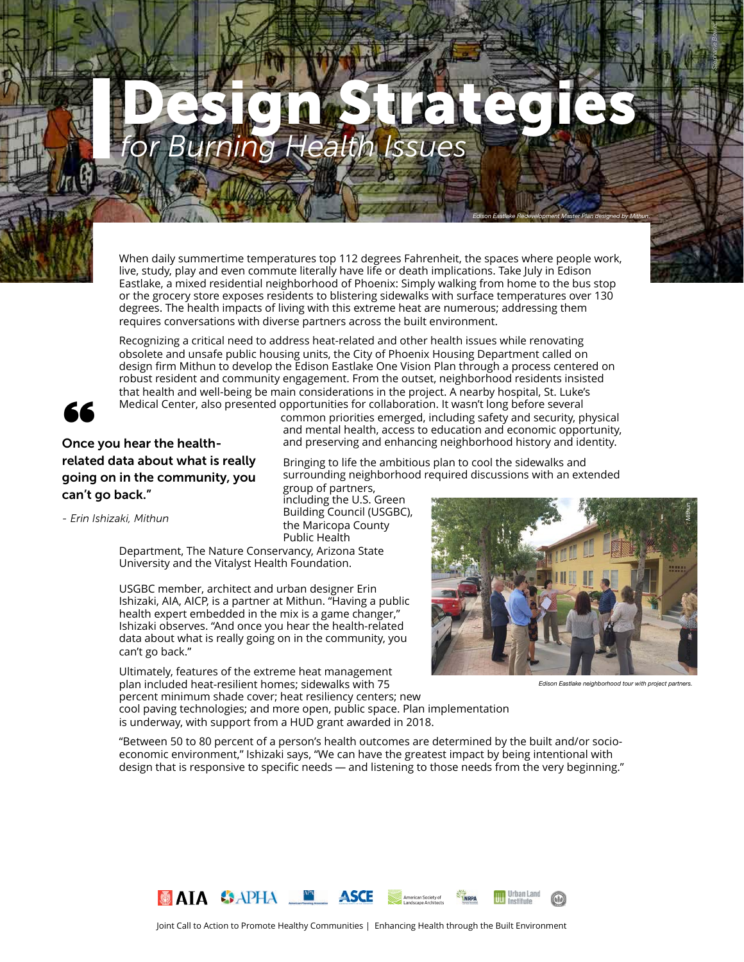# *for Burning Health Issues* Design Strategies

When daily summertime temperatures top 112 degrees Fahrenheit, the spaces where people work, live, study, play and even commute literally have life or death implications. Take July in Edison Eastlake, a mixed residential neighborhood of Phoenix: Simply walking from home to the bus stop or the grocery store exposes residents to blistering sidewalks with surface temperatures over 130 degrees. The health impacts of living with this extreme heat are numerous; addressing them requires conversations with diverse partners across the built environment.

Recognizing a critical need to address heat-related and other health issues while renovating obsolete and unsafe public housing units, the City of Phoenix Housing Department called on design firm Mithun to develop the Edison Eastlake One Vision Plan [through a process centered on](about:blank)  [robust resident and community engagement.](about:blank) From the outset, neighborhood residents insisted that health and well-being be main considerations in the project. A nearby hospital, St. Luke's Medical Center, also presented opportunities for collaboration. It wasn't long before several

[Building Council](about:blank) [\(USGBC](about:blank)),



Medical Center, also<br>Once you hear the health-<br>"alsted date about what is related data about what is really going on in the community, you can't go back."

common priorities emerged, including safety and security, physical and mental health, access to education and economic opportunity, and preserving and enhancing neighborhood history and identity.

Bringing [to life the ambitious plan to cool the sidewalks and](about:blank)  [surrounding neighborhood required discussions with an extended](about:blank)  [group of partners,](about:blank)  [including the U.S. Green](about:blank) 

*- Erin Ishizaki, Mithun*

the Maricopa County Public Health Department, The Nature Conservancy, Arizona State University and the Vitalyst Health Foundation.

USGBC member, architect and urban designer Erin Ishizaki, AIA, AICP, is a partner at Mithun. "Having a public health expert embedded in the mix is a game changer," Ishizaki observes. "And once you hear the health-related data about what is really going on in the community, you can't go back."

Ultimately, features of the extreme heat management plan included heat-resilient homes; sidewalks with 75 percent minimum shade cover; heat resiliency centers; new



*Edison Eastlake Redevelopment Master Plan designed by Mithun.*

*Stephanie Bower.*

cool paving technologies; and more open, public space. Plan implementation is underway, with support from a HUD grant awarded in 2018.

"Between 50 to 80 percent of a person's health outcomes are determined by the built and/or socioeconomic environment," Ishizaki says, "We can have the greatest impact by being intentional with design that is responsive to specific needs — and listening to those needs from the very beginning."